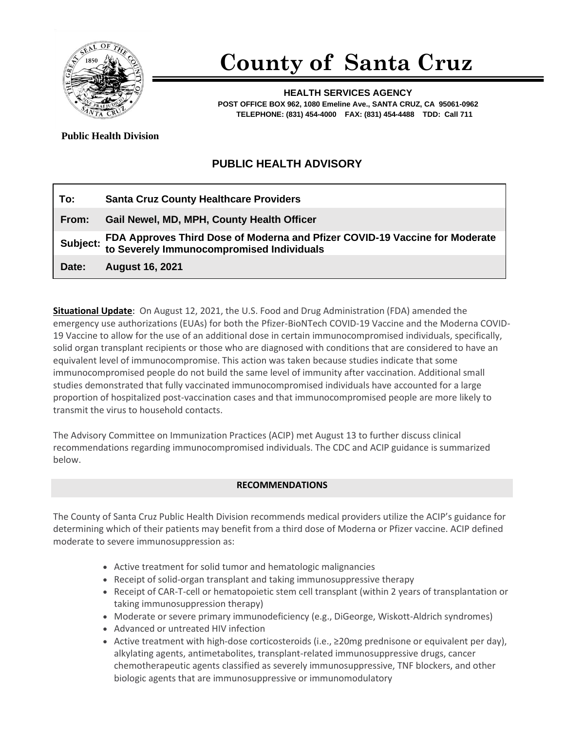

# **County of Santa Cruz**

**HEALTH SERVICES AGENCY POST OFFICE BOX 962, 1080 Emeline Ave., SANTA CRUZ, CA 95061-0962 TELEPHONE: (831) 454-4000 FAX: (831) 454-4488 TDD: Call 711**

**Public Health Division** 

# **PUBLIC HEALTH ADVISORY**

| To:   | <b>Santa Cruz County Healthcare Providers</b>                                                                                     |
|-------|-----------------------------------------------------------------------------------------------------------------------------------|
| From: | Gail Newel, MD, MPH, County Health Officer                                                                                        |
|       | Subject: FDA Approves Third Dose of Moderna and Pfizer COVID-19 Vaccine for Moderate<br>to Severely Immunocompromised Individuals |
| Date: | <b>August 16, 2021</b>                                                                                                            |

**Situational Update**: On August 12, 2021, the U.S. Food and Drug Administration (FDA) amended the emergency use authorizations (EUAs) for both the Pfizer-BioNTech COVID-19 Vaccine and the Moderna COVID-19 Vaccine to allow for the use of an additional dose in certain immunocompromised individuals, specifically, solid organ transplant recipients or those who are diagnosed with conditions that are considered to have an equivalent level of immunocompromise. This action was taken because studies indicate that some immunocompromised people do not build the same level of immunity after vaccination. Additional small studies demonstrated that fully vaccinated immunocompromised individuals have accounted for a large proportion of hospitalized post-vaccination cases and that immunocompromised people are more likely to transmit the virus to household contacts.

The Advisory Committee on Immunization Practices (ACIP) met August 13 to further discuss clinical recommendations regarding immunocompromised individuals. The CDC and ACIP guidance is summarized below.

## **RECOMMENDATIONS**

The County of Santa Cruz Public Health Division recommends medical providers utilize the ACIP's guidance for determining which of their patients may benefit from a third dose of Moderna or Pfizer vaccine. ACIP defined moderate to severe immunosuppression as:

- Active treatment for solid tumor and hematologic malignancies
- Receipt of solid-organ transplant and taking immunosuppressive therapy
- Receipt of CAR-T-cell or hematopoietic stem cell transplant (within 2 years of transplantation or taking immunosuppression therapy)
- Moderate or severe primary immunodeficiency (e.g., DiGeorge, Wiskott-Aldrich syndromes)
- Advanced or untreated HIV infection
- Active treatment with high-dose corticosteroids (i.e., ≥20mg prednisone or equivalent per day), alkylating agents, antimetabolites, transplant-related immunosuppressive drugs, cancer chemotherapeutic agents classified as severely immunosuppressive, TNF blockers, and other biologic agents that are immunosuppressive or immunomodulatory